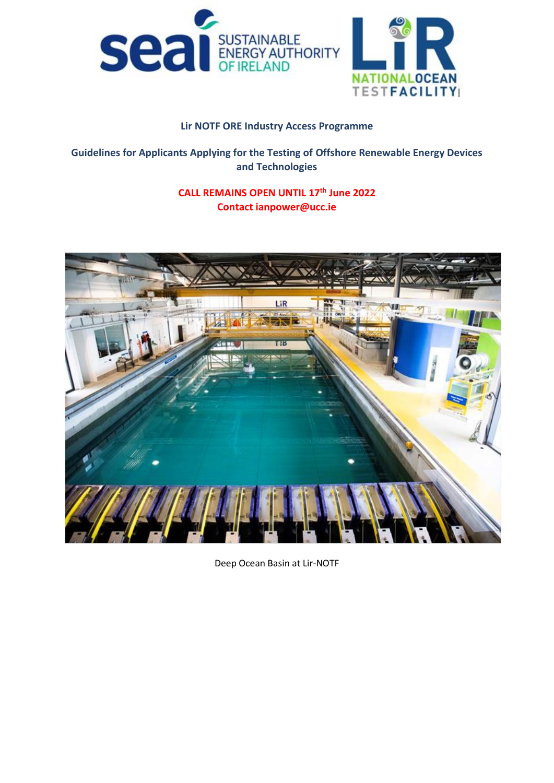



# **Lir NOTF ORE Industry Access Programme**

# **Guidelines for Applicants Applying for the Testing of Offshore Renewable Energy Devices and Technologies**

# **CALL REMAINS OPEN UNTIL 17th June 2022 Contact ianpower@ucc.ie**



Deep Ocean Basin at Lir-NOTF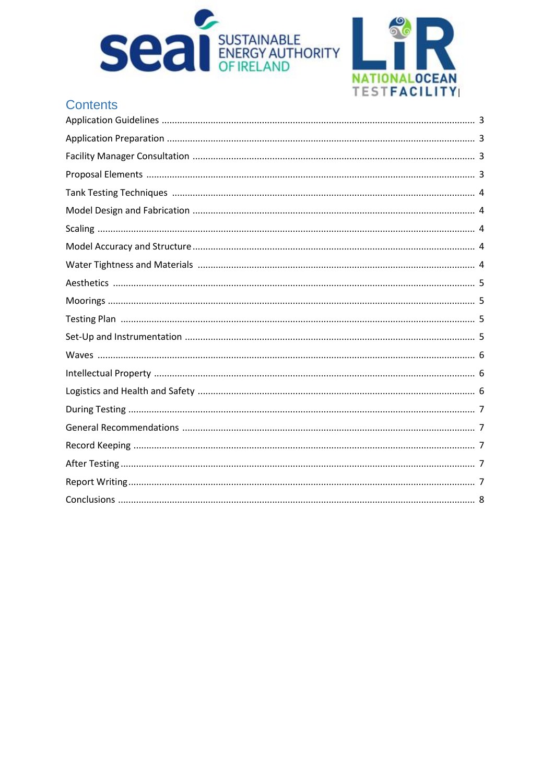



# **Contents**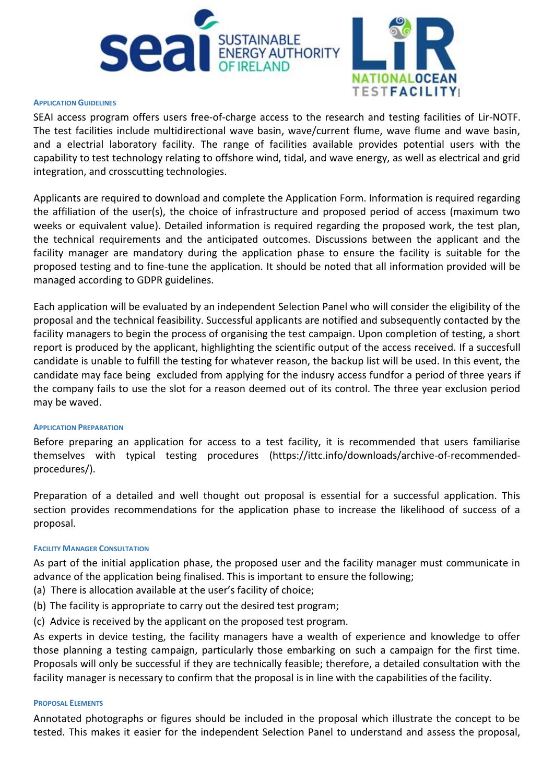



#### **APPLICATION GUIDELINES**

SEAI access program offers users free-of-charge access to the research and testing facilities of Lir-NOTF. The test facilities include multidirectional wave basin, wave/current flume, wave flume and wave basin, and a electrial laboratory facility. The range of facilities available provides potential users with the capability to test technology relating to offshore wind, tidal, and wave energy, as well as electrical and grid integration, and crosscutting technologies.

Applicants are required to download and complete the Application Form. Information is required regarding the affiliation of the user(s), the choice of infrastructure and proposed period of access (maximum two weeks or equivalent value). Detailed information is required regarding the proposed work, the test plan, the technical requirements and the anticipated outcomes. Discussions between the applicant and the facility manager are mandatory during the application phase to ensure the facility is suitable for the proposed testing and to fine-tune the application. It should be noted that all information provided will be managed according to GDPR guidelines.

Each application will be evaluated by an independent Selection Panel who will consider the eligibility of the proposal and the technical feasibility. Successful applicants are notified and subsequently contacted by the facility managers to begin the process of organising the test campaign. Upon completion of testing, a short report is produced by the applicant, highlighting the scientific output of the access received. If a succesfull candidate is unable to fulfill the testing for whatever reason, the backup list will be used. In this event, the candidate may face being excluded from applying for the indusry access fundfor a period of three years if the company fails to use the slot for a reason deemed out of its control. The three year exclusion period may be waved.

# **APPLICATION PREPARATION**

Before preparing an application for access to a test facility, it is recommended that users familiarise themselves with typical testing procedures (https://ittc.info/downloads/archive-of-recommendedprocedures/).

Preparation of a detailed and well thought out proposal is essential for a successful application. This section provides recommendations for the application phase to increase the likelihood of success of a proposal.

# **FACILITY MANAGER CONSULTATION**

As part of the initial application phase, the proposed user and the facility manager must communicate in advance of the application being finalised. This is important to ensure the following;

- (a) There is allocation available at the user's facility of choice;
- (b) The facility is appropriate to carry out the desired test program;
- (c) Advice is received by the applicant on the proposed test program.

As experts in device testing, the facility managers have a wealth of experience and knowledge to offer those planning a testing campaign, particularly those embarking on such a campaign for the first time. Proposals will only be successful if they are technically feasible; therefore, a detailed consultation with the facility manager is necessary to confirm that the proposal is in line with the capabilities of the facility.

# **PROPOSAL ELEMENTS**

Annotated photographs or figures should be included in the proposal which illustrate the concept to be tested. This makes it easier for the independent Selection Panel to understand and assess the proposal,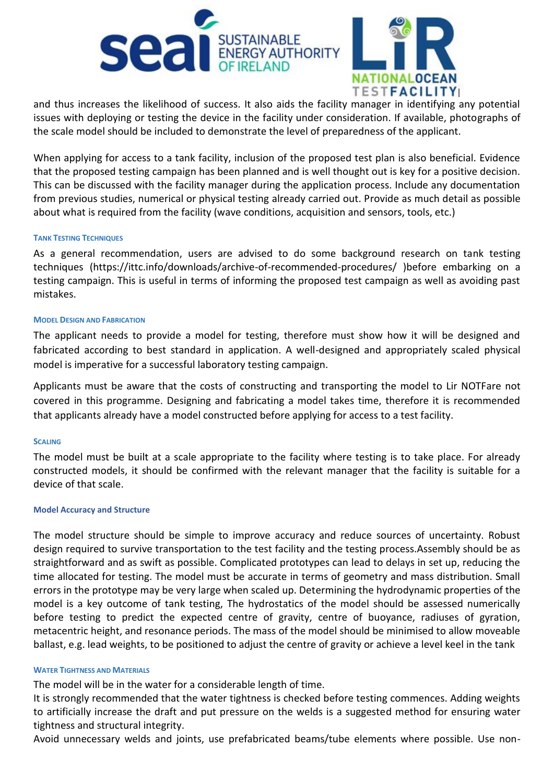



and thus increases the likelihood of success. It also aids the facility manager in identifying any potential issues with deploying or testing the device in the facility under consideration. If available, photographs of the scale model should be included to demonstrate the level of preparedness of the applicant.

When applying for access to a tank facility, inclusion of the proposed test plan is also beneficial. Evidence that the proposed testing campaign has been planned and is well thought out is key for a positive decision. This can be discussed with the facility manager during the application process. Include any documentation from previous studies, numerical or physical testing already carried out. Provide as much detail as possible about what is required from the facility (wave conditions, acquisition and sensors, tools, etc.)

#### **TANK TESTING TECHNIQUES**

As a general recommendation, users are advised to do some background research on tank testing techniques (https://ittc.info/downloads/archive-of-recommended-procedures/ )before embarking on a testing campaign. This is useful in terms of informing the proposed test campaign as well as avoiding past mistakes.

#### **MODEL DESIGN AND FABRICATION**

The applicant needs to provide a model for testing, therefore must show how it will be designed and fabricated according to best standard in application. A well-designed and appropriately scaled physical model is imperative for a successful laboratory testing campaign.

Applicants must be aware that the costs of constructing and transporting the model to Lir NOTFare not covered in this programme. Designing and fabricating a model takes time, therefore it is recommended that applicants already have a model constructed before applying for access to a test facility.

#### **SCALING**

The model must be built at a scale appropriate to the facility where testing is to take place. For already constructed models, it should be confirmed with the relevant manager that the facility is suitable for a device of that scale.

#### **Model Accuracy and Structure**

The model structure should be simple to improve accuracy and reduce sources of uncertainty. Robust design required to survive transportation to the test facility and the testing process.Assembly should be as straightforward and as swift as possible. Complicated prototypes can lead to delays in set up, reducing the time allocated for testing. The model must be accurate in terms of geometry and mass distribution. Small errors in the prototype may be very large when scaled up. Determining the hydrodynamic properties of the model is a key outcome of tank testing, The hydrostatics of the model should be assessed numerically before testing to predict the expected centre of gravity, centre of buoyance, radiuses of gyration, metacentric height, and resonance periods. The mass of the model should be minimised to allow moveable ballast, e.g. lead weights, to be positioned to adjust the centre of gravity or achieve a level keel in the tank

#### **WATER TIGHTNESS AND MATERIALS**

The model will be in the water for a considerable length of time.

It is strongly recommended that the water tightness is checked before testing commences. Adding weights to artificially increase the draft and put pressure on the welds is a suggested method for ensuring water tightness and structural integrity.

Avoid unnecessary welds and joints, use prefabricated beams/tube elements where possible. Use non-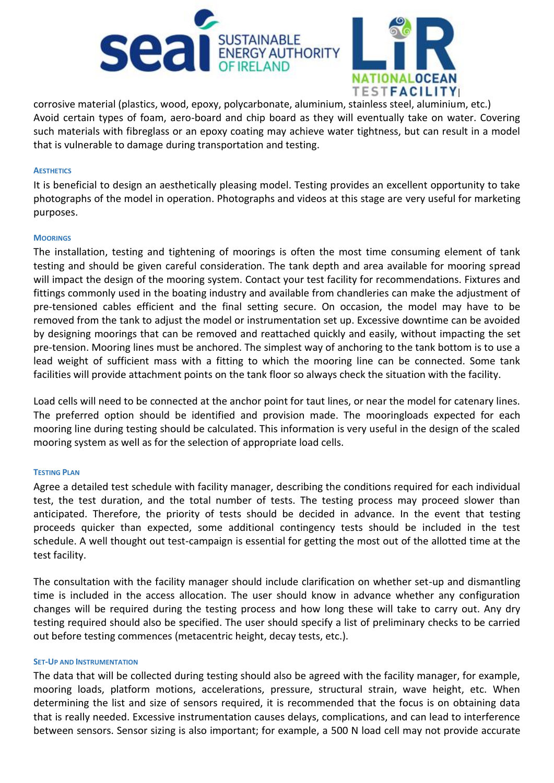



corrosive material (plastics, wood, epoxy, polycarbonate, aluminium, stainless steel, aluminium, etc.) Avoid certain types of foam, aero-board and chip board as they will eventually take on water. Covering such materials with fibreglass or an epoxy coating may achieve water tightness, but can result in a model that is vulnerable to damage during transportation and testing.

#### **AESTHETICS**

It is beneficial to design an aesthetically pleasing model. Testing provides an excellent opportunity to take photographs of the model in operation. Photographs and videos at this stage are very useful for marketing purposes.

#### **MOORINGS**

The installation, testing and tightening of moorings is often the most time consuming element of tank testing and should be given careful consideration. The tank depth and area available for mooring spread will impact the design of the mooring system. Contact your test facility for recommendations. Fixtures and fittings commonly used in the boating industry and available from chandleries can make the adjustment of pre-tensioned cables efficient and the final setting secure. On occasion, the model may have to be removed from the tank to adjust the model or instrumentation set up. Excessive downtime can be avoided by designing moorings that can be removed and reattached quickly and easily, without impacting the set pre-tension. Mooring lines must be anchored. The simplest way of anchoring to the tank bottom is to use a lead weight of sufficient mass with a fitting to which the mooring line can be connected. Some tank facilities will provide attachment points on the tank floor so always check the situation with the facility.

Load cells will need to be connected at the anchor point for taut lines, or near the model for catenary lines. The preferred option should be identified and provision made. The mooringloads expected for each mooring line during testing should be calculated. This information is very useful in the design of the scaled mooring system as well as for the selection of appropriate load cells.

# **TESTING PLAN**

Agree a detailed test schedule with facility manager, describing the conditions required for each individual test, the test duration, and the total number of tests. The testing process may proceed slower than anticipated. Therefore, the priority of tests should be decided in advance. In the event that testing proceeds quicker than expected, some additional contingency tests should be included in the test schedule. A well thought out test-campaign is essential for getting the most out of the allotted time at the test facility.

The consultation with the facility manager should include clarification on whether set-up and dismantling time is included in the access allocation. The user should know in advance whether any configuration changes will be required during the testing process and how long these will take to carry out. Any dry testing required should also be specified. The user should specify a list of preliminary checks to be carried out before testing commences (metacentric height, decay tests, etc.).

#### **SET-UP AND INSTRUMENTATION**

The data that will be collected during testing should also be agreed with the facility manager, for example, mooring loads, platform motions, accelerations, pressure, structural strain, wave height, etc. When determining the list and size of sensors required, it is recommended that the focus is on obtaining data that is really needed. Excessive instrumentation causes delays, complications, and can lead to interference between sensors. Sensor sizing is also important; for example, a 500 N load cell may not provide accurate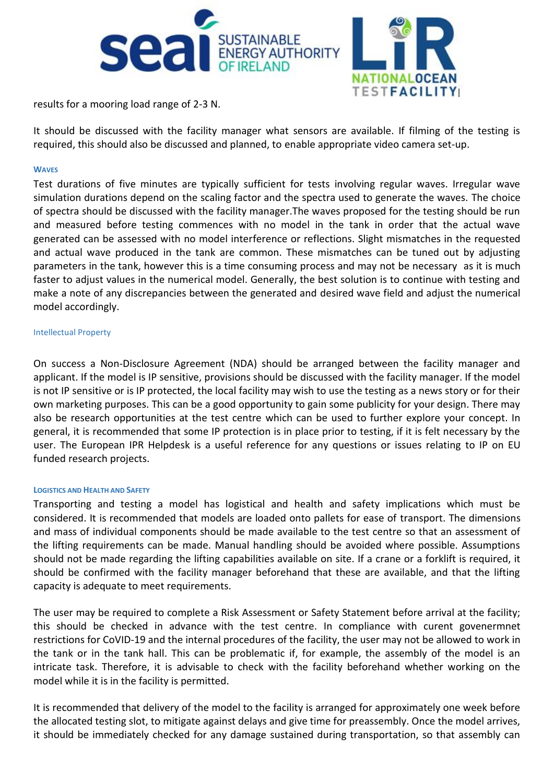



results for a mooring load range of 2-3 N.

It should be discussed with the facility manager what sensors are available. If filming of the testing is required, this should also be discussed and planned, to enable appropriate video camera set-up.

## **WAVES**

Test durations of five minutes are typically sufficient for tests involving regular waves. Irregular wave simulation durations depend on the scaling factor and the spectra used to generate the waves. The choice of spectra should be discussed with the facility manager.The waves proposed for the testing should be run and measured before testing commences with no model in the tank in order that the actual wave generated can be assessed with no model interference or reflections. Slight mismatches in the requested and actual wave produced in the tank are common. These mismatches can be tuned out by adjusting parameters in the tank, however this is a time consuming process and may not be necessary as it is much faster to adjust values in the numerical model. Generally, the best solution is to continue with testing and make a note of any discrepancies between the generated and desired wave field and adjust the numerical model accordingly.

#### Intellectual Property

On success a Non-Disclosure Agreement (NDA) should be arranged between the facility manager and applicant. If the model is IP sensitive, provisions should be discussed with the facility manager. If the model is not IP sensitive or is IP protected, the local facility may wish to use the testing as a news story or for their own marketing purposes. This can be a good opportunity to gain some publicity for your design. There may also be research opportunities at the test centre which can be used to further explore your concept. In general, it is recommended that some IP protection is in place prior to testing, if it is felt necessary by the user. The European IPR Helpdesk is a useful reference for any questions or issues relating to IP on EU funded research projects.

# **LOGISTICS AND HEALTH AND SAFETY**

Transporting and testing a model has logistical and health and safety implications which must be considered. It is recommended that models are loaded onto pallets for ease of transport. The dimensions and mass of individual components should be made available to the test centre so that an assessment of the lifting requirements can be made. Manual handling should be avoided where possible. Assumptions should not be made regarding the lifting capabilities available on site. If a crane or a forklift is required, it should be confirmed with the facility manager beforehand that these are available, and that the lifting capacity is adequate to meet requirements.

The user may be required to complete a Risk Assessment or Safety Statement before arrival at the facility; this should be checked in advance with the test centre. In compliance with curent govenermnet restrictions for CoVID-19 and the internal procedures of the facility, the user may not be allowed to work in the tank or in the tank hall. This can be problematic if, for example, the assembly of the model is an intricate task. Therefore, it is advisable to check with the facility beforehand whether working on the model while it is in the facility is permitted.

It is recommended that delivery of the model to the facility is arranged for approximately one week before the allocated testing slot, to mitigate against delays and give time for preassembly. Once the model arrives, it should be immediately checked for any damage sustained during transportation, so that assembly can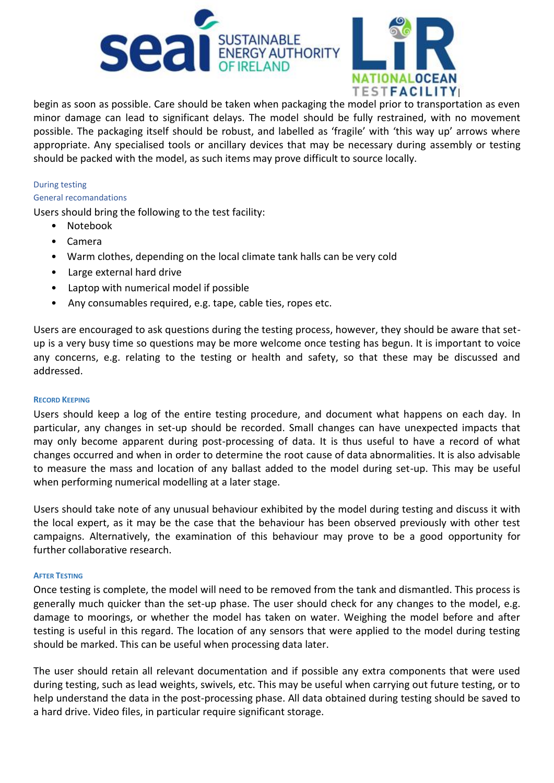



begin as soon as possible. Care should be taken when packaging the model prior to transportation as even minor damage can lead to significant delays. The model should be fully restrained, with no movement possible. The packaging itself should be robust, and labelled as 'fragile' with 'this way up' arrows where appropriate. Any specialised tools or ancillary devices that may be necessary during assembly or testing should be packed with the model, as such items may prove difficult to source locally.

## During testing

#### General recomandations

Users should bring the following to the test facility:

- Notebook
- Camera
- Warm clothes, depending on the local climate tank halls can be very cold
- Large external hard drive
- Laptop with numerical model if possible
- Any consumables required, e.g. tape, cable ties, ropes etc.

Users are encouraged to ask questions during the testing process, however, they should be aware that setup is a very busy time so questions may be more welcome once testing has begun. It is important to voice any concerns, e.g. relating to the testing or health and safety, so that these may be discussed and addressed.

# **RECORD KEEPING**

Users should keep a log of the entire testing procedure, and document what happens on each day. In particular, any changes in set-up should be recorded. Small changes can have unexpected impacts that may only become apparent during post-processing of data. It is thus useful to have a record of what changes occurred and when in order to determine the root cause of data abnormalities. It is also advisable to measure the mass and location of any ballast added to the model during set-up. This may be useful when performing numerical modelling at a later stage.

Users should take note of any unusual behaviour exhibited by the model during testing and discuss it with the local expert, as it may be the case that the behaviour has been observed previously with other test campaigns. Alternatively, the examination of this behaviour may prove to be a good opportunity for further collaborative research.

#### **AFTER TESTING**

Once testing is complete, the model will need to be removed from the tank and dismantled. This process is generally much quicker than the set-up phase. The user should check for any changes to the model, e.g. damage to moorings, or whether the model has taken on water. Weighing the model before and after testing is useful in this regard. The location of any sensors that were applied to the model during testing should be marked. This can be useful when processing data later.

The user should retain all relevant documentation and if possible any extra components that were used during testing, such as lead weights, swivels, etc. This may be useful when carrying out future testing, or to help understand the data in the post-processing phase. All data obtained during testing should be saved to a hard drive. Video files, in particular require significant storage.